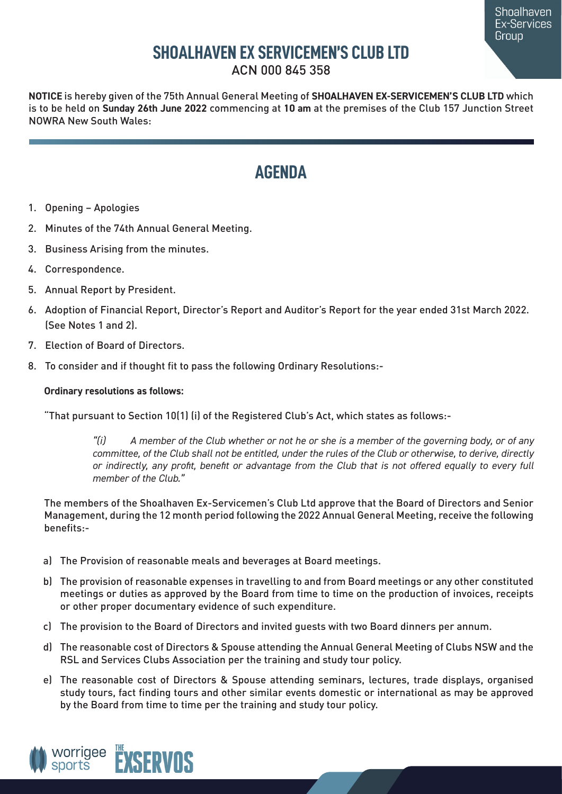# **SHOALHAVEN EX SERVICEMEN'S CLUB LTD**

ACN 000 845 358

**NOTICE** is hereby given of the 75th Annual General Meeting of **SHOALHAVEN EX-SERVICEMEN'S CLUB LTD** which is to be held on **Sunday 26th June 2022** commencing at **10 am** at the premises of the Club 157 Junction Street NOWRA New South Wales:

# **AGENDA**

- 1. Opening Apologies
- 2. Minutes of the 74th Annual General Meeting.
- 3. Business Arising from the minutes.
- 4. Correspondence.
- 5. Annual Report by President.
- 6. Adoption of Financial Report, Director's Report and Auditor's Report for the year ended 31st March 2022. (See Notes 1 and 2).
- 7. Election of Board of Directors.
- 8. To consider and if thought fit to pass the following Ordinary Resolutions:-

## **Ordinary resolutions as follows:**

"That pursuant to Section 10(1) (i) of the Registered Club's Act, which states as follows:-

*"(i) A member of the Club whether or not he or she is a member of the governing body, or of any committee, of the Club shall not be entitled, under the rules of the Club or otherwise, to derive, directly or indirectly, any profit, benefit or advantage from the Club that is not offered equally to every full member of the Club."*

The members of the Shoalhaven Ex-Servicemen's Club Ltd approve that the Board of Directors and Senior Management, during the 12 month period following the 2022 Annual General Meeting, receive the following benefits:-

- a) The Provision of reasonable meals and beverages at Board meetings.
- b) The provision of reasonable expenses in travelling to and from Board meetings or any other constituted meetings or duties as approved by the Board from time to time on the production of invoices, receipts or other proper documentary evidence of such expenditure.
- c) The provision to the Board of Directors and invited guests with two Board dinners per annum.
- d) The reasonable cost of Directors & Spouse attending the Annual General Meeting of Clubs NSW and the RSL and Services Clubs Association per the training and study tour policy.
- e) The reasonable cost of Directors & Spouse attending seminars, lectures, trade displays, organised study tours, fact finding tours and other similar events domestic or international as may be approved by the Board from time to time per the training and study tour policy.

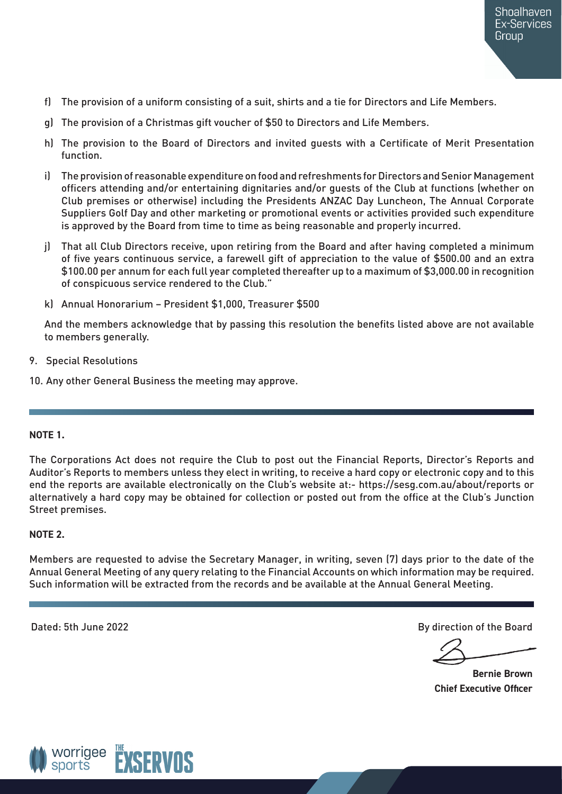- f) The provision of a uniform consisting of a suit, shirts and a tie for Directors and Life Members.
- g) The provision of a Christmas gift voucher of \$50 to Directors and Life Members.
- h) The provision to the Board of Directors and invited guests with a Certificate of Merit Presentation function.
- i) The provision of reasonable expenditure on food and refreshments for Directors and Senior Management officers attending and/or entertaining dignitaries and/or guests of the Club at functions (whether on Club premises or otherwise) including the Presidents ANZAC Day Luncheon, The Annual Corporate Suppliers Golf Day and other marketing or promotional events or activities provided such expenditure is approved by the Board from time to time as being reasonable and properly incurred.
- j) That all Club Directors receive, upon retiring from the Board and after having completed a minimum of five years continuous service, a farewell gift of appreciation to the value of \$500.00 and an extra \$100.00 per annum for each full year completed thereafter up to a maximum of \$3,000.00 in recognition of conspicuous service rendered to the Club."
- k) Annual Honorarium President \$1,000, Treasurer \$500

And the members acknowledge that by passing this resolution the benefits listed above are not available to members generally.

- 9. Special Resolutions
- 10. Any other General Business the meeting may approve.

#### **NOTE 1.**

The Corporations Act does not require the Club to post out the Financial Reports, Director's Reports and Auditor's Reports to members unless they elect in writing, to receive a hard copy or electronic copy and to this end the reports are available electronically on the Club's website at:- https://sesg.com.au/about/reports or alternatively a hard copy may be obtained for collection or posted out from the office at the Club's Junction Street premises.

#### **NOTE 2.**

Members are requested to advise the Secretary Manager, in writing, seven (7) days prior to the date of the Annual General Meeting of any query relating to the Financial Accounts on which information may be required. Such information will be extracted from the records and be available at the Annual General Meeting.

Dated: 5th June 2022 By direction of the Board

**Bernie Brown Chief Executive Officer**

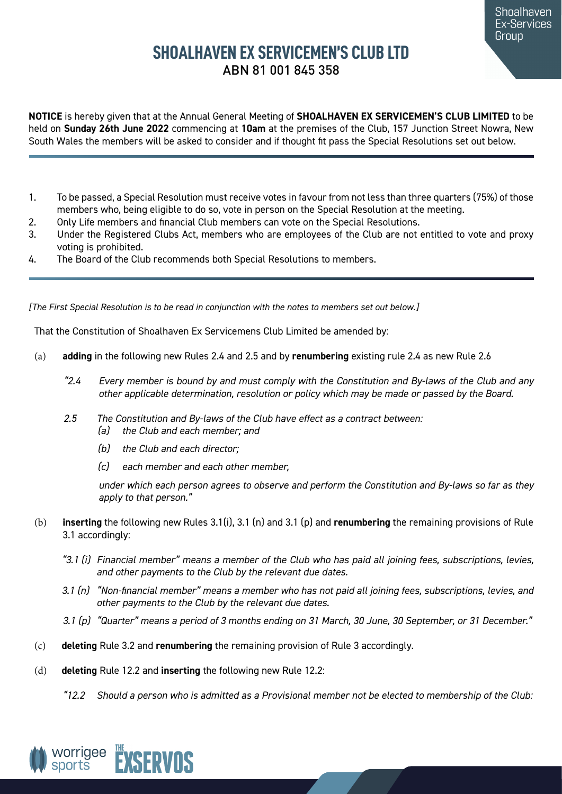# **SHOALHAVEN EX SERVICEMEN'S CLUB LTD**  ABN 81 001 845 358

**NOTICE** is hereby given that at the Annual General Meeting of **SHOALHAVEN EX SERVICEMEN'S CLUB LIMITED** to be held on **Sunday 26th June 2022** commencing at **10am** at the premises of the Club, 157 Junction Street Nowra, New South Wales the members will be asked to consider and if thought fit pass the Special Resolutions set out below.

- 1. To be passed, a Special Resolution must receive votes in favour from not less than three quarters (75%) of those members who, being eligible to do so, vote in person on the Special Resolution at the meeting.
- 2. Only Life members and financial Club members can vote on the Special Resolutions.
- 3. Under the Registered Clubs Act, members who are employees of the Club are not entitled to vote and proxy voting is prohibited.
- 4. The Board of the Club recommends both Special Resolutions to members.

*[The First Special Resolution is to be read in conjunction with the notes to members set out below.]*

That the Constitution of Shoalhaven Ex Servicemens Club Limited be amended by:

- (a) **adding** in the following new Rules 2.4 and 2.5 and by **renumbering** existing rule 2.4 as new Rule 2.6
	- *"2.4 Every member is bound by and must comply with the Constitution and By-laws of the Club and any other applicable determination, resolution or policy which may be made or passed by the Board.*
	- *2.5 The Constitution and By-laws of the Club have effect as a contract between:*
		- *(a) the Club and each member; and*
		- *(b) the Club and each director;*
		- *(c) each member and each other member,*

*under which each person agrees to observe and perform the Constitution and By-laws so far as they apply to that person."*

- (b) **inserting** the following new Rules 3.1(i), 3.1 (n) and 3.1 (p) and **renumbering** the remaining provisions of Rule 3.1 accordingly:
	- *"3.1 (i) Financial member" means a member of the Club who has paid all joining fees, subscriptions, levies, and other payments to the Club by the relevant due dates.*
	- *3.1 (n) "Non-financial member" means a member who has not paid all joining fees, subscriptions, levies, and other payments to the Club by the relevant due dates.*
	- *3.1 (p) "Quarter" means a period of 3 months ending on 31 March, 30 June, 30 September, or 31 December."*
- (c) **deleting** Rule 3.2 and **renumbering** the remaining provision of Rule 3 accordingly.
- (d) **deleting** Rule 12.2 and **inserting** the following new Rule 12.2:
	- *"12.2 Should a person who is admitted as a Provisional member not be elected to membership of the Club:*

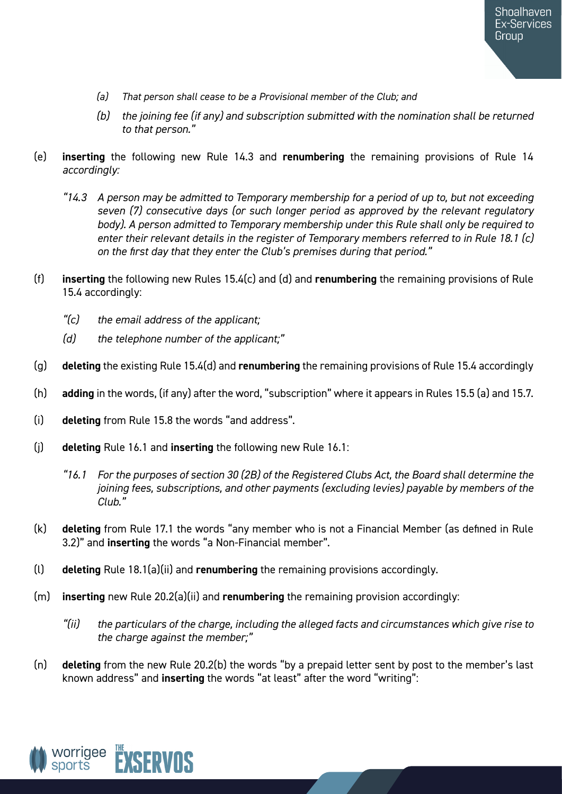- *(a) That person shall cease to be a Provisional member of the Club; and*
- *(b) the joining fee (if any) and subscription submitted with the nomination shall be returned to that person."*
- (e) **inserting** the following new Rule 14.3 and **renumbering** the remaining provisions of Rule 14 *accordingly:*
	- *"14.3 A person may be admitted to Temporary membership for a period of up to, but not exceeding seven (7) consecutive days (or such longer period as approved by the relevant regulatory body). A person admitted to Temporary membership under this Rule shall only be required to enter their relevant details in the register of Temporary members referred to in Rule 18.1 (c) on the first day that they enter the Club's premises during that period."*
- (f) **inserting** the following new Rules 15.4(c) and (d) and **renumbering** the remaining provisions of Rule 15.4 accordingly:
	- *"(c) the email address of the applicant;*
	- *(d) the telephone number of the applicant;"*
- (g) **deleting** the existing Rule 15.4(d) and **renumbering** the remaining provisions of Rule 15.4 accordingly
- (h) **adding** in the words, (if any) after the word, "subscription" where it appears in Rules 15.5 (a) and 15.7.
- (i) **deleting** from Rule 15.8 the words "and address".
- (j) **deleting** Rule 16.1 and **inserting** the following new Rule 16.1:
	- *"16.1 For the purposes of section 30 (2B) of the Registered Clubs Act, the Board shall determine the joining fees, subscriptions, and other payments (excluding levies) payable by members of the Club."*
- (k) **deleting** from Rule 17.1 the words "any member who is not a Financial Member (as defined in Rule 3.2)" and **inserting** the words "a Non-Financial member".
- (l) **deleting** Rule 18.1(a)(ii) and **renumbering** the remaining provisions accordingly.
- (m) **inserting** new Rule 20.2(a)(ii) and **renumbering** the remaining provision accordingly:
	- *"(ii) the particulars of the charge, including the alleged facts and circumstances which give rise to the charge against the member;"*
- (n) **deleting** from the new Rule 20.2(b) the words "by a prepaid letter sent by post to the member's last known address" and **inserting** the words "at least" after the word "writing":

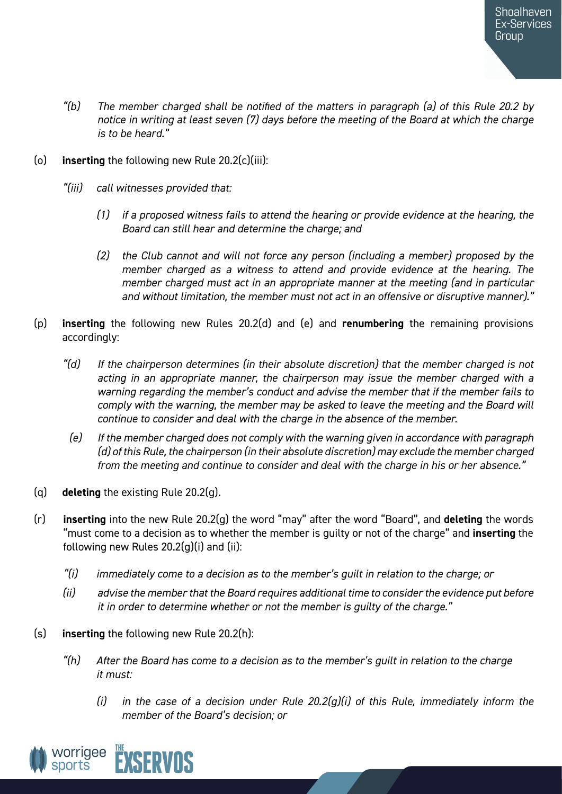- *"(b) The member charged shall be notified of the matters in paragraph (a) of this Rule 20.2 by notice in writing at least seven (7) days before the meeting of the Board at which the charge is to be heard."*
- (o) **inserting** the following new Rule 20.2(c)(iii):
	- *"(iii) call witnesses provided that:*
		- *(1) if a proposed witness fails to attend the hearing or provide evidence at the hearing, the Board can still hear and determine the charge; and*
		- *(2) the Club cannot and will not force any person (including a member) proposed by the member charged as a witness to attend and provide evidence at the hearing. The member charged must act in an appropriate manner at the meeting (and in particular and without limitation, the member must not act in an offensive or disruptive manner)."*
- (p) **inserting** the following new Rules 20.2(d) and (e) and **renumbering** the remaining provisions accordingly:
	- *"(d) If the chairperson determines (in their absolute discretion) that the member charged is not acting in an appropriate manner, the chairperson may issue the member charged with a warning regarding the member's conduct and advise the member that if the member fails to comply with the warning, the member may be asked to leave the meeting and the Board will continue to consider and deal with the charge in the absence of the member.*
	- *(e) If the member charged does not comply with the warning given in accordance with paragraph (d) of this Rule, the chairperson (in their absolute discretion) may exclude the member charged from the meeting and continue to consider and deal with the charge in his or her absence."*
- (q) **deleting** the existing Rule 20.2(g).
- (r) **inserting** into the new Rule 20.2(g) the word "may" after the word "Board", and **deleting** the words "must come to a decision as to whether the member is guilty or not of the charge" and **inserting** the following new Rules  $20.2(g)(i)$  and (ii):
	- *"(i) immediately come to a decision as to the member's guilt in relation to the charge; or*
	- *(ii) advise the member that the Board requires additional time to consider the evidence put before it in order to determine whether or not the member is guilty of the charge."*
- (s) **inserting** the following new Rule 20.2(h):
	- *"(h) After the Board has come to a decision as to the member's guilt in relation to the charge it must:*
		- *(i) in the case of a decision under Rule 20.2(g)(i) of this Rule, immediately inform the member of the Board's decision; or*

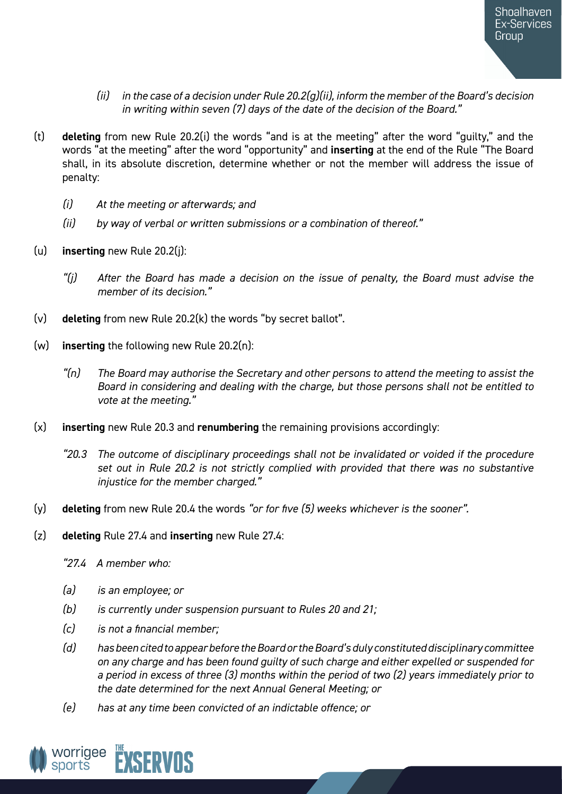- *(ii) in the case of a decision under Rule 20.2(g)(ii), inform the member of the Board's decision in writing within seven (7) days of the date of the decision of the Board."*
- (t) **deleting** from new Rule 20.2(i) the words "and is at the meeting" after the word "guilty," and the words "at the meeting" after the word "opportunity" and **inserting** at the end of the Rule "The Board shall, in its absolute discretion, determine whether or not the member will address the issue of penalty:
	- *(i) At the meeting or afterwards; and*
	- *(ii) by way of verbal or written submissions or a combination of thereof."*
- (u) **inserting** new Rule 20.2(j):
	- *"(j) After the Board has made a decision on the issue of penalty, the Board must advise the member of its decision."*
- (v) **deleting** from new Rule 20.2(k) the words "by secret ballot".
- (w) **inserting** the following new Rule 20.2(n):
	- *"(n) The Board may authorise the Secretary and other persons to attend the meeting to assist the Board in considering and dealing with the charge, but those persons shall not be entitled to vote at the meeting."*
- (x) **inserting** new Rule 20.3 and **renumbering** the remaining provisions accordingly:
	- *"20.3 The outcome of disciplinary proceedings shall not be invalidated or voided if the procedure set out in Rule 20.2 is not strictly complied with provided that there was no substantive injustice for the member charged."*
- (y) **deleting** from new Rule 20.4 the words *"or for five (5) weeks whichever is the sooner".*
- (z) **deleting** Rule 27.4 and **inserting** new Rule 27.4:
	- *"27.4 A member who:*
	- *(a) is an employee; or*
	- *(b) is currently under suspension pursuant to Rules 20 and 21;*
	- *(c) is not a financial member;*
	- *(d) has been cited to appear before the Board or the Board's duly constituted disciplinary committee on any charge and has been found guilty of such charge and either expelled or suspended for a period in excess of three (3) months within the period of two (2) years immediately prior to the date determined for the next Annual General Meeting; or*
	- *(e) has at any time been convicted of an indictable offence; or*

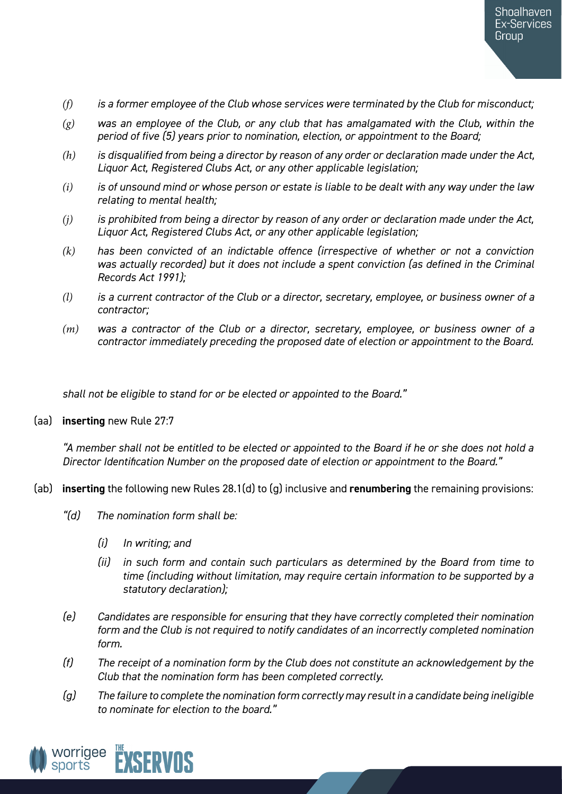- *(f) is a former employee of the Club whose services were terminated by the Club for misconduct;*
- *(g) was an employee of the Club, or any club that has amalgamated with the Club, within the period of five (5) years prior to nomination, election, or appointment to the Board;*
- *(h) is disqualified from being a director by reason of any order or declaration made under the Act, Liquor Act, Registered Clubs Act, or any other applicable legislation;*
- *(i) is of unsound mind or whose person or estate is liable to be dealt with any way under the law relating to mental health;*
- *(j) is prohibited from being a director by reason of any order or declaration made under the Act, Liquor Act, Registered Clubs Act, or any other applicable legislation;*
- *(k) has been convicted of an indictable offence (irrespective of whether or not a conviction was actually recorded) but it does not include a spent conviction (as defined in the Criminal Records Act 1991);*
- *(l) is a current contractor of the Club or a director, secretary, employee, or business owner of a contractor;*
- *(m) was a contractor of the Club or a director, secretary, employee, or business owner of a contractor immediately preceding the proposed date of election or appointment to the Board.*

*shall not be eligible to stand for or be elected or appointed to the Board."* 

#### (aa) **inserting** new Rule 27:7

*"A member shall not be entitled to be elected or appointed to the Board if he or she does not hold a Director Identification Number on the proposed date of election or appointment to the Board."*

- (ab) **inserting** the following new Rules 28.1(d) to (g) inclusive and **renumbering** the remaining provisions:
	- *"(d) The nomination form shall be:*
		- *(i) In writing; and*
		- *(ii) in such form and contain such particulars as determined by the Board from time to time (including without limitation, may require certain information to be supported by a statutory declaration);*
	- *(e) Candidates are responsible for ensuring that they have correctly completed their nomination form and the Club is not required to notify candidates of an incorrectly completed nomination form.*
	- *(f) The receipt of a nomination form by the Club does not constitute an acknowledgement by the Club that the nomination form has been completed correctly.*
	- *(g) The failure to complete the nomination form correctly may result in a candidate being ineligible to nominate for election to the board."*

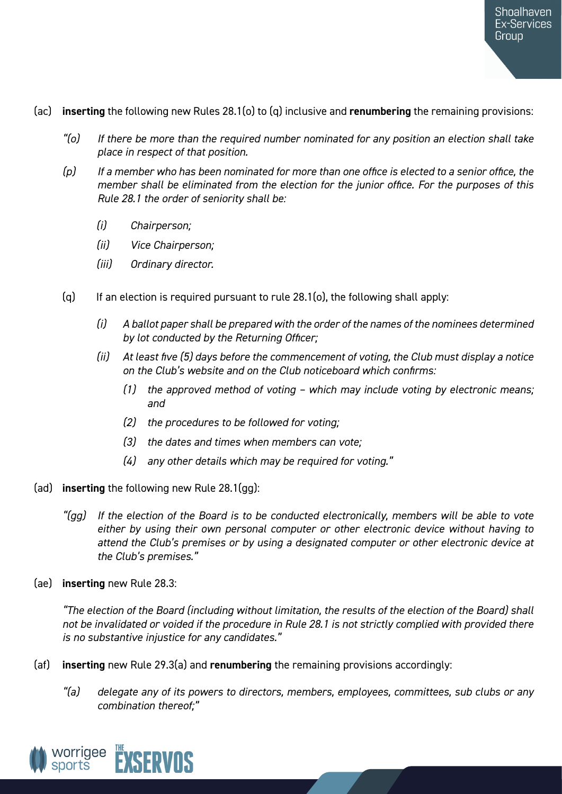- (ac) **inserting** the following new Rules 28.1(o) to (q) inclusive and **renumbering** the remaining provisions:
	- *"(o) If there be more than the required number nominated for any position an election shall take place in respect of that position.*
	- *(p) If a member who has been nominated for more than one office is elected to a senior office, the member shall be eliminated from the election for the junior office. For the purposes of this Rule 28.1 the order of seniority shall be:*
		- *(i) Chairperson;*
		- *(ii) Vice Chairperson;*
		- *(iii) Ordinary director.*
	- (q) If an election is required pursuant to rule 28.1(o), the following shall apply:
		- *(i) A ballot paper shall be prepared with the order of the names of the nominees determined by lot conducted by the Returning Officer;*
		- *(ii) At least five (5) days before the commencement of voting, the Club must display a notice on the Club's website and on the Club noticeboard which confirms:*
			- *(1) the approved method of voting which may include voting by electronic means; and*
			- *(2) the procedures to be followed for voting;*
			- *(3) the dates and times when members can vote;*
			- *(4) any other details which may be required for voting."*
- (ad) **inserting** the following new Rule 28.1(gg):
	- *"(gg) If the election of the Board is to be conducted electronically, members will be able to vote either by using their own personal computer or other electronic device without having to attend the Club's premises or by using a designated computer or other electronic device at the Club's premises."*
- (ae) **inserting** new Rule 28.3:

*"The election of the Board (including without limitation, the results of the election of the Board) shall not be invalidated or voided if the procedure in Rule 28.1 is not strictly complied with provided there is no substantive injustice for any candidates."*

- (af) **inserting** new Rule 29.3(a) and **renumbering** the remaining provisions accordingly:
	- *"(a) delegate any of its powers to directors, members, employees, committees, sub clubs or any combination thereof;"*

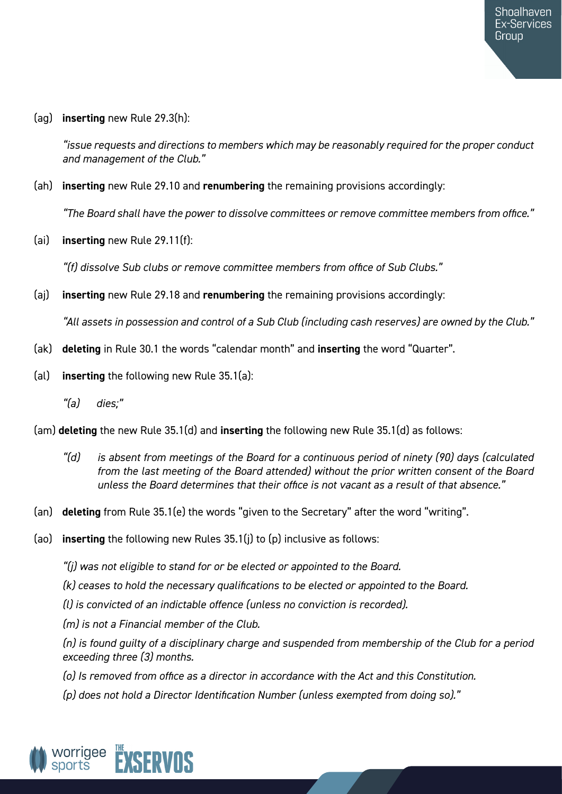(ag) **inserting** new Rule 29.3(h):

*"issue requests and directions to members which may be reasonably required for the proper conduct and management of the Club."*

(ah) **inserting** new Rule 29.10 and **renumbering** the remaining provisions accordingly:

*"The Board shall have the power to dissolve committees or remove committee members from office."*

(ai) **inserting** new Rule 29.11(f):

*"(f) dissolve Sub clubs or remove committee members from office of Sub Clubs."*

(aj) **inserting** new Rule 29.18 and **renumbering** the remaining provisions accordingly:

*"All assets in possession and control of a Sub Club (including cash reserves) are owned by the Club."*

- (ak) **deleting** in Rule 30.1 the words "calendar month" and **inserting** the word "Quarter".
- (al) **inserting** the following new Rule 35.1(a):
	- *"(a) dies;"*

(am) **deleting** the new Rule 35.1(d) and **inserting** the following new Rule 35.1(d) as follows:

- *"(d) is absent from meetings of the Board for a continuous period of ninety (90) days (calculated from the last meeting of the Board attended) without the prior written consent of the Board unless the Board determines that their office is not vacant as a result of that absence."*
- (an) **deleting** from Rule 35.1(e) the words "given to the Secretary" after the word "writing".
- (ao) **inserting** the following new Rules 35.1(j) to (p) inclusive as follows:

*"(j) was not eligible to stand for or be elected or appointed to the Board.*

*(k) ceases to hold the necessary qualifications to be elected or appointed to the Board.*

*(l) is convicted of an indictable offence (unless no conviction is recorded).*

*(m) is not a Financial member of the Club.*

*(n) is found guilty of a disciplinary charge and suspended from membership of the Club for a period exceeding three (3) months.*

- *(o) Is removed from office as a director in accordance with the Act and this Constitution.*
- *(p) does not hold a Director Identification Number (unless exempted from doing so)."*

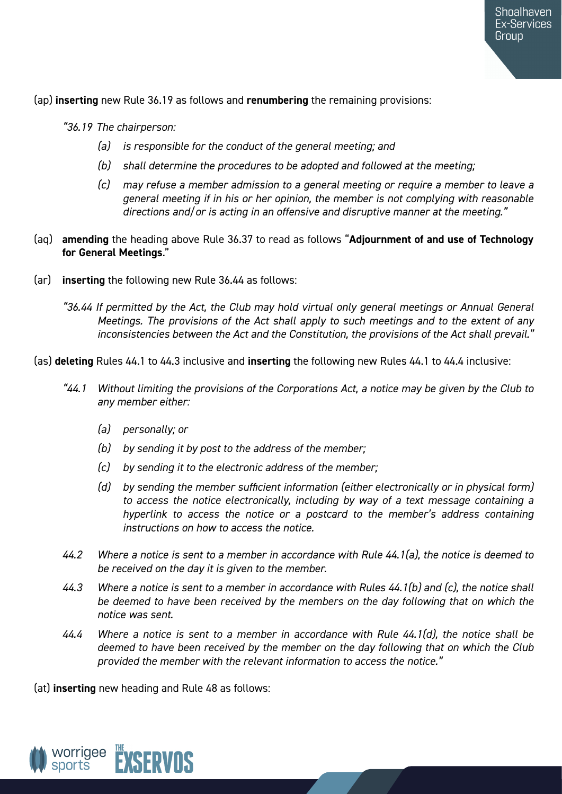(ap) **inserting** new Rule 36.19 as follows and **renumbering** the remaining provisions:

*"36.19 The chairperson:*

- *(a) is responsible for the conduct of the general meeting; and*
- *(b) shall determine the procedures to be adopted and followed at the meeting;*
- *(c) may refuse a member admission to a general meeting or require a member to leave a general meeting if in his or her opinion, the member is not complying with reasonable directions and/or is acting in an offensive and disruptive manner at the meeting."*
- (aq) **amending** the heading above Rule 36.37 to read as follows "**Adjournment of and use of Technology for General Meetings**."
- (ar) **inserting** the following new Rule 36.44 as follows:
	- *"36.44 If permitted by the Act, the Club may hold virtual only general meetings or Annual General Meetings. The provisions of the Act shall apply to such meetings and to the extent of any inconsistencies between the Act and the Constitution, the provisions of the Act shall prevail."*

(as) **deleting** Rules 44.1 to 44.3 inclusive and **inserting** the following new Rules 44.1 to 44.4 inclusive:

- *"44.1 Without limiting the provisions of the Corporations Act, a notice may be given by the Club to any member either:*
	- *(a) personally; or*
	- *(b) by sending it by post to the address of the member;*
	- *(c) by sending it to the electronic address of the member;*
	- *(d) by sending the member sufficient information (either electronically or in physical form) to access the notice electronically, including by way of a text message containing a hyperlink to access the notice or a postcard to the member's address containing instructions on how to access the notice.*
- *44.2 Where a notice is sent to a member in accordance with Rule 44.1(a), the notice is deemed to be received on the day it is given to the member.*
- *44.3 Where a notice is sent to a member in accordance with Rules 44.1(b) and (c), the notice shall be deemed to have been received by the members on the day following that on which the notice was sent.*
- *44.4 Where a notice is sent to a member in accordance with Rule 44.1(d), the notice shall be deemed to have been received by the member on the day following that on which the Club provided the member with the relevant information to access the notice."*

(at) **inserting** new heading and Rule 48 as follows:

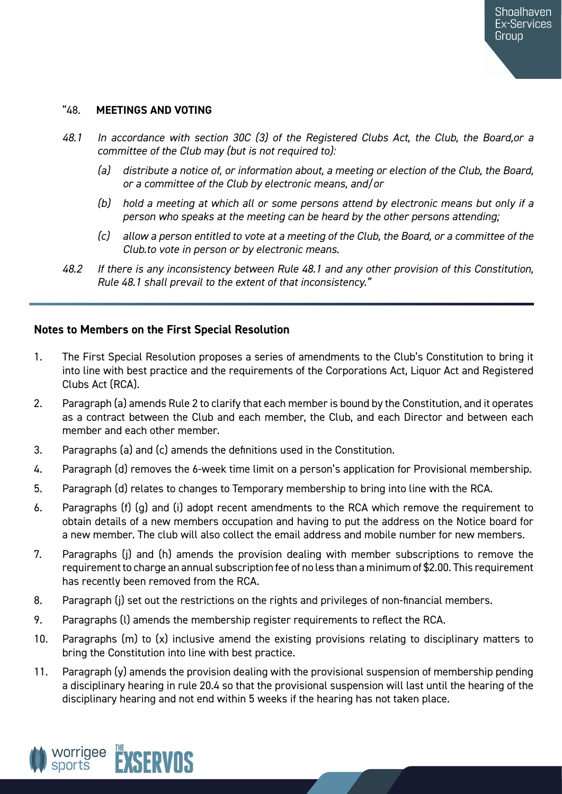## "48. **MEETINGS AND VOTING**

- *48.1 In accordance with section 30C (3) of the Registered Clubs Act, the Club, the Board,or a committee of the Club may (but is not required to):*
	- *(a) distribute a notice of, or information about, a meeting or election of the Club, the Board, or a committee of the Club by electronic means, and/or*
	- *(b) hold a meeting at which all or some persons attend by electronic means but only if a person who speaks at the meeting can be heard by the other persons attending;*
	- *(c) allow a person entitled to vote at a meeting of the Club, the Board, or a committee of the Club.to vote in person or by electronic means.*
- *48.2 If there is any inconsistency between Rule 48.1 and any other provision of this Constitution, Rule 48.1 shall prevail to the extent of that inconsistency."*

# **Notes to Members on the First Special Resolution**

- 1. The First Special Resolution proposes a series of amendments to the Club's Constitution to bring it into line with best practice and the requirements of the Corporations Act, Liquor Act and Registered Clubs Act (RCA).
- 2. Paragraph (a) amends Rule 2 to clarify that each member is bound by the Constitution, and it operates as a contract between the Club and each member, the Club, and each Director and between each member and each other member.
- 3. Paragraphs (a) and (c) amends the definitions used in the Constitution.
- 4. Paragraph (d) removes the 6-week time limit on a person's application for Provisional membership.
- 5. Paragraph (d) relates to changes to Temporary membership to bring into line with the RCA.
- 6. Paragraphs (f) (g) and (i) adopt recent amendments to the RCA which remove the requirement to obtain details of a new members occupation and having to put the address on the Notice board for a new member. The club will also collect the email address and mobile number for new members.
- 7. Paragraphs (j) and (h) amends the provision dealing with member subscriptions to remove the requirement to charge an annual subscription fee of no less than a minimum of \$2.00. This requirement has recently been removed from the RCA.
- 8. Paragraph (j) set out the restrictions on the rights and privileges of non-financial members.
- 9. Paragraphs (l) amends the membership register requirements to reflect the RCA.
- 10. Paragraphs (m) to (x) inclusive amend the existing provisions relating to disciplinary matters to bring the Constitution into line with best practice.
- 11. Paragraph (y) amends the provision dealing with the provisional suspension of membership pending a disciplinary hearing in rule 20.4 so that the provisional suspension will last until the hearing of the disciplinary hearing and not end within 5 weeks if the hearing has not taken place.

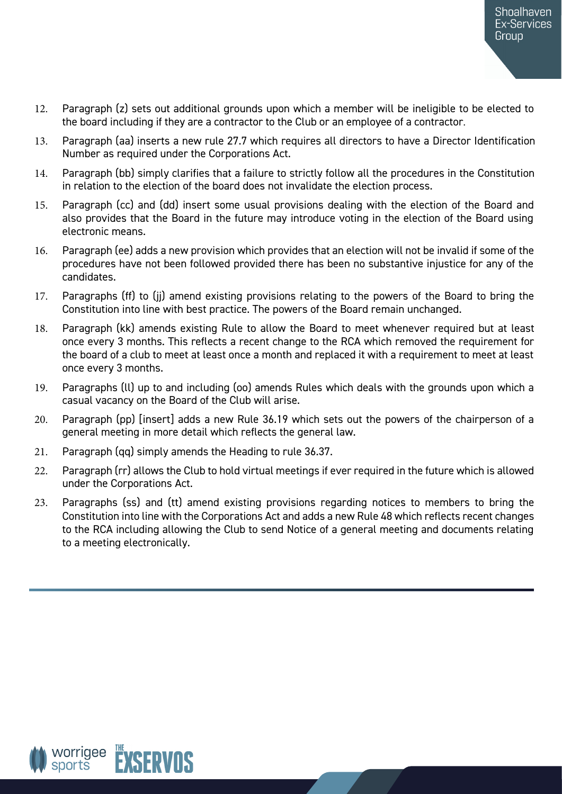- 12. Paragraph (z) sets out additional grounds upon which a member will be ineligible to be elected to the board including if they are a contractor to the Club or an employee of a contractor.
- 13. Paragraph (aa) inserts a new rule 27.7 which requires all directors to have a Director Identification Number as required under the Corporations Act.
- 14. Paragraph (bb) simply clarifies that a failure to strictly follow all the procedures in the Constitution in relation to the election of the board does not invalidate the election process.
- 15. Paragraph (cc) and (dd) insert some usual provisions dealing with the election of the Board and also provides that the Board in the future may introduce voting in the election of the Board using electronic means.
- 16. Paragraph (ee) adds a new provision which provides that an election will not be invalid if some of the procedures have not been followed provided there has been no substantive injustice for any of the candidates.
- 17. Paragraphs (ff) to (jj) amend existing provisions relating to the powers of the Board to bring the Constitution into line with best practice. The powers of the Board remain unchanged.
- 18. Paragraph (kk) amends existing Rule to allow the Board to meet whenever required but at least once every 3 months. This reflects a recent change to the RCA which removed the requirement for the board of a club to meet at least once a month and replaced it with a requirement to meet at least once every 3 months.
- 19. Paragraphs (ll) up to and including (oo) amends Rules which deals with the grounds upon which a casual vacancy on the Board of the Club will arise.
- 20. Paragraph (pp) [insert] adds a new Rule 36.19 which sets out the powers of the chairperson of a general meeting in more detail which reflects the general law.
- 21. Paragraph (qq) simply amends the Heading to rule 36.37.
- 22. Paragraph (rr) allows the Club to hold virtual meetings if ever required in the future which is allowed under the Corporations Act.
- 23. Paragraphs (ss) and (tt) amend existing provisions regarding notices to members to bring the Constitution into line with the Corporations Act and adds a new Rule 48 which reflects recent changes to the RCA including allowing the Club to send Notice of a general meeting and documents relating to a meeting electronically.

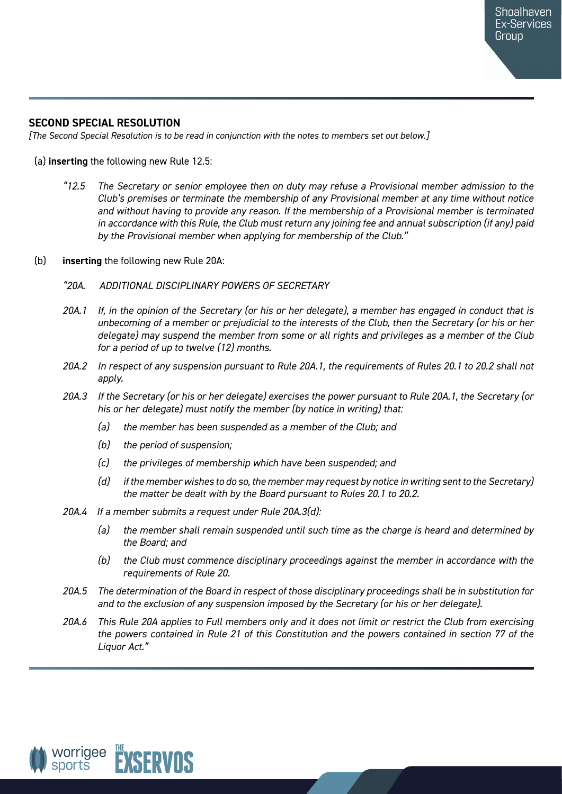## **SECOND SPECIAL RESOLUTION**

*[The Second Special Resolution is to be read in conjunction with the notes to members set out below.]*

#### (a) **inserting** the following new Rule 12.5:

- *"12.5 The Secretary or senior employee then on duty may refuse a Provisional member admission to the Club's premises or terminate the membership of any Provisional member at any time without notice and without having to provide any reason. If the membership of a Provisional member is terminated in accordance with this Rule, the Club must return any joining fee and annual subscription (if any) paid by the Provisional member when applying for membership of the Club."*
- (b) **inserting** the following new Rule 20A:
	- *"20A. ADDITIONAL DISCIPLINARY POWERS OF SECRETARY*
	- *20A.1 If, in the opinion of the Secretary (or his or her delegate), a member has engaged in conduct that is unbecoming of a member or prejudicial to the interests of the Club, then the Secretary (or his or her delegate) may suspend the member from some or all rights and privileges as a member of the Club for a period of up to twelve (12) months.*
	- *20A.2 In respect of any suspension pursuant to Rule 20A.1, the requirements of Rules 20.1 to 20.2 shall not apply.*
	- *20A.3 If the Secretary (or his or her delegate) exercises the power pursuant to Rule 20A.1, the Secretary (or his or her delegate) must notify the member (by notice in writing) that:* 
		- *(a) the member has been suspended as a member of the Club; and*
		- *(b) the period of suspension;*
		- *(c) the privileges of membership which have been suspended; and*
		- *(d) if the member wishes to do so, the member may request by notice in writing sent to the Secretary) the matter be dealt with by the Board pursuant to Rules 20.1 to 20.2.*
	- *20A.4 If a member submits a request under Rule 20A.3(d):*
		- *(a) the member shall remain suspended until such time as the charge is heard and determined by the Board; and*
		- *(b) the Club must commence disciplinary proceedings against the member in accordance with the requirements of Rule 20.*
	- *20A.5 The determination of the Board in respect of those disciplinary proceedings shall be in substitution for and to the exclusion of any suspension imposed by the Secretary (or his or her delegate).*
	- *20A.6 This Rule 20A applies to Full members only and it does not limit or restrict the Club from exercising the powers contained in Rule 21 of this Constitution and the powers contained in section 77 of the Liquor Act."*